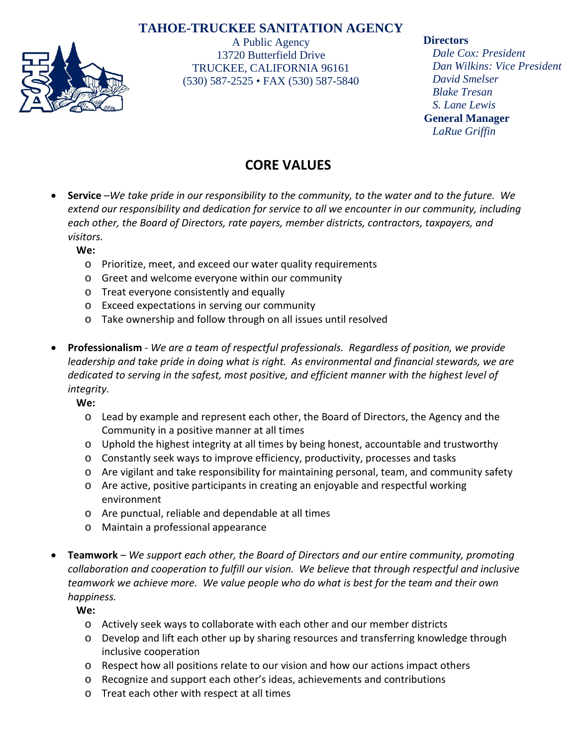## **TAHOE-TRUCKEE SANITATION AGENCY**



A Public Agency 13720 Butterfield Drive TRUCKEE, CALIFORNIA 96161 (530) 587-2525 • FAX (530) 587-5840

### **Directors**

*Dale Cox: President Dan Wilkins: Vice President David Smelser Blake Tresan S. Lane Lewis* **General Manager** *LaRue Griffin*

# **CORE VALUES**

• **Service** –*We take pride in our responsibility to the community, to the water and to the future. We extend our responsibility and dedication for service to all we encounter in our community, including each other, the Board of Directors, rate payers, member districts, contractors, taxpayers, and visitors.*

### **We:**

- o Prioritize, meet, and exceed our water quality requirements
- o Greet and welcome everyone within our community
- o Treat everyone consistently and equally
- o Exceed expectations in serving our community
- o Take ownership and follow through on all issues until resolved
- **Professionalism** *We are a team of respectful professionals. Regardless of position, we provide leadership and take pride in doing what is right. As environmental and financial stewards, we are dedicated to serving in the safest, most positive, and efficient manner with the highest level of integrity.*

**We:**

- o Lead by example and represent each other, the Board of Directors, the Agency and the Community in a positive manner at all times
- o Uphold the highest integrity at all times by being honest, accountable and trustworthy
- o Constantly seek ways to improve efficiency, productivity, processes and tasks
- o Are vigilant and take responsibility for maintaining personal, team, and community safety
- o Are active, positive participants in creating an enjoyable and respectful working environment
- o Are punctual, reliable and dependable at all times
- o Maintain a professional appearance
- **Teamwork** *We support each other, the Board of Directors and our entire community, promoting collaboration and cooperation to fulfill our vision. We believe that through respectful and inclusive teamwork we achieve more. We value people who do what is best for the team and their own happiness.*

**We:**

- o Actively seek ways to collaborate with each other and our member districts
- o Develop and lift each other up by sharing resources and transferring knowledge through inclusive cooperation
- $\circ$  Respect how all positions relate to our vision and how our actions impact others
- o Recognize and support each other's ideas, achievements and contributions
- o Treat each other with respect at all times